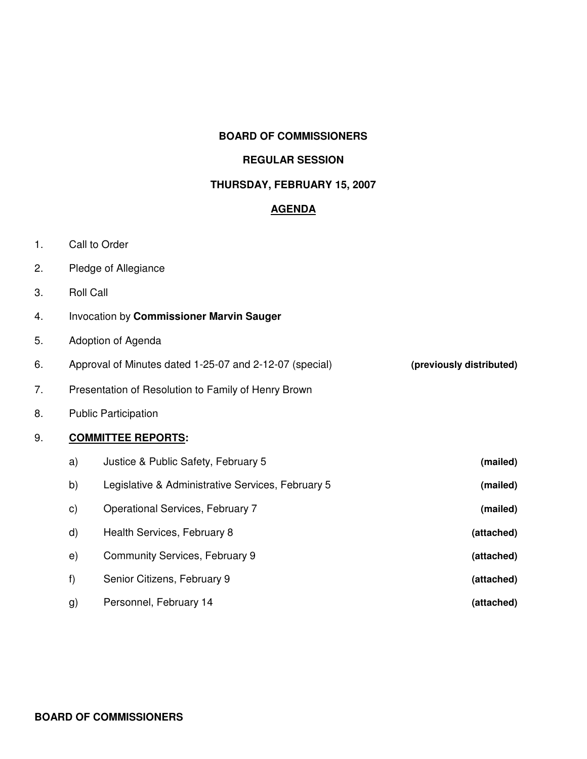#### **BOARD OF COMMISSIONERS**

### **REGULAR SESSION**

### **THURSDAY, FEBRUARY 15, 2007**

#### **AGENDA**

- 1. Call to Order
- 2. Pledge of Allegiance
- 3. Roll Call
- 4. Invocation by **Commissioner Marvin Sauger**
- 5. Adoption of Agenda
- 6. Approval of Minutes dated 1-25-07 and 2-12-07 (special) **(previously distributed)**
- 7. Presentation of Resolution to Family of Henry Brown
- 8. Public Participation

#### 9. **COMMITTEE REPORTS:**

| (mailed)                                                      | Justice & Public Safety, February 5<br>a)        |
|---------------------------------------------------------------|--------------------------------------------------|
| Legislative & Administrative Services, February 5<br>(mailed) | b)                                               |
| (mailed)                                                      | Operational Services, February 7<br>$\mathsf{C}$ |
| (attached)                                                    | Health Services, February 8<br>d)                |
| (attached)                                                    | Community Services, February 9<br>e)             |
| (attached)                                                    | f)<br>Senior Citizens, February 9                |
| (attached)                                                    | Personnel, February 14<br>g)                     |

#### **BOARD OF COMMISSIONERS**